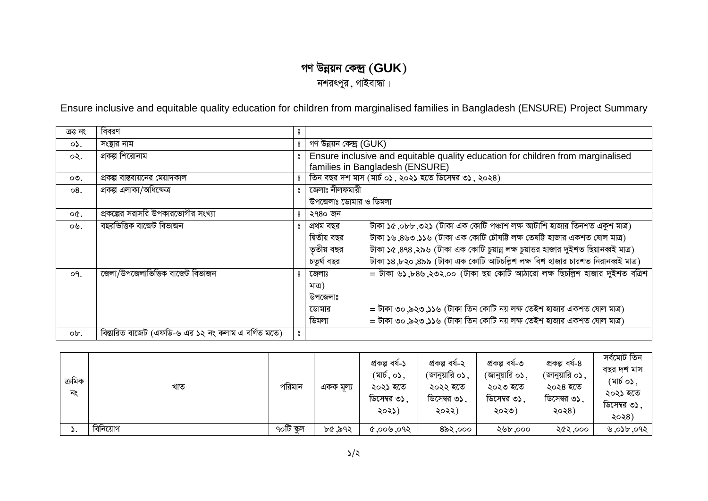## গণ উন্নয়ন কেন্দ্ৰ  $(\text{GUK})$

নশরৎপুর, গাইবান্ধা।

Ensure inclusive and equitable quality education for children from marginalised families in Bangladesh (ENSURE) Project Summary

| ক্ৰঃ নং        | বিবরণ                                               | 8                |                                                                                                   |  |  |  |  |
|----------------|-----------------------------------------------------|------------------|---------------------------------------------------------------------------------------------------|--|--|--|--|
| ०১.            | সংস্থার নাম                                         | $\rm ^{o}$       | গণ উন্নয়ন কেন্দ্ৰ (GUK)                                                                          |  |  |  |  |
| ०२.            | প্রকল্প শিরোনাম                                     | ႙                | Ensure inclusive and equitable quality education for children from marginalised                   |  |  |  |  |
|                |                                                     |                  | families in Bangladesh (ENSURE)                                                                   |  |  |  |  |
| ০৩.            | প্রকল্প বাস্তবায়নের মেয়াদকাল                      | 8                | তিন বছর দশ মাস (মার্চ ০১, ২০২১ হতে ডিসেম্বর ৩১, ২০২৪)                                             |  |  |  |  |
| $\circ$ 8.     | প্ৰকল্প এলাকা/অধিক্ষেত্ৰ                            | å                | জেলাঃ নীলফমারী                                                                                    |  |  |  |  |
|                |                                                     |                  | উপজেলাঃ ডোমার ও ডিমলা                                                                             |  |  |  |  |
| $OC$ .         | ব্রকল্পের সরাসরি উপকারভোগীর সংখ্যা                  | 8                | ২৭৪০ জন                                                                                           |  |  |  |  |
| ০৬.            | বছরভিত্তিক বাজেট বিভাজন                             | ႙                | টাকা ১৫,০৮৮,৩২১ (টাকা এক কোটি পঞ্চাশ লক্ষ আটাশি হাজার তিনশত একুশ মাত্র)<br>প্ৰথম বছর              |  |  |  |  |
|                |                                                     |                  | টাকা ১৬,৪৬৩,১১৬ (টাকা এক কোটি চৌষটি লক্ষ তেষটি হাজার একশত ষোল মাত্র)<br>দ্বিতীয় বছর              |  |  |  |  |
|                |                                                     |                  | টাকা ১৫,৪৭৪,২৯৬ (টাকা এক কোটি চুয়ান্ন লক্ষ চুয়াত্তর হাজার দুইশত ছিয়ানব্বই মাত্র)<br>তৃতীয় বছর |  |  |  |  |
|                |                                                     |                  | টাকা ১৪,৮২০,৪৯৯ (টাকা এক কোটি আটচল্লিশ লক্ষ বিশ হাজার চারশত নিরানব্বই মাত্র)<br>চতুৰ্থ বছর        |  |  |  |  |
| O <sub>1</sub> | জেলা/উপজেলাভিত্তিক বাজেট বিভাজন                     | ႙                | = টাকা ৬১,৮৪৬,২৩২.০০ (টাকা ছয় কোটি আঠারো লক্ষ ছিচল্লিশ হাজার দুইশত বত্রিশ<br>জেলাঃ               |  |  |  |  |
|                |                                                     |                  | মাত্র)                                                                                            |  |  |  |  |
|                |                                                     |                  | উপজেলাঃ                                                                                           |  |  |  |  |
|                |                                                     |                  | = টাকা ৩০,৯২৩,১১৬ (টাকা তিন কোটি নয় লক্ষ তেইশ হাজার একশত ষোল মাত্র)<br>ডোমার                     |  |  |  |  |
|                |                                                     |                  | = টাকা ৩০,৯২৩,১১৬ (টাকা তিন কোটি নয় লক্ষ তেইশ হাজার একশত ষোল মাত্র)<br>ডিমলা                     |  |  |  |  |
| ob.            | বিস্তারিত বাজেট (এফডি-৬ এর ১২ নং কলাম এ বর্ণিত মতে) | $\boldsymbol{S}$ |                                                                                                   |  |  |  |  |

| ক্ৰমিক<br>নং | খাত      | পরিমান     | একক মূল্য | প্ৰকল্প বৰ্ষ-১<br>$(\overline{\mathsf{a}}\overline{\mathsf{b}}, \overline{\mathsf{c}})$ ,<br>২০২১ হতে<br>ডিসেম্বর ৩১.<br>২০২১) | প্ৰকল্প বৰ্ষ-২<br><sup>(</sup> জানুয়ারি ০ <b>১</b> ,<br>২০২২ হতে<br>ডিসেম্বর ৩১.<br>২০২২) | প্ৰকল্প বৰ্ষ-৩<br><sup>⁄</sup> জানুয়ারি ০ <b>১</b><br>২০২৩ হতে<br>$\sim$<br>ডিসেম্বর ৩১.<br>২০২৩) | প্ৰকল্প বৰ্ষ-৪<br><i>(</i> জানুয়ারি ০ <b>১</b><br>২০২৪ হতে<br>ডিসেম্বর ৩১.<br>২০২৪) | সৰ্বমোট তিন<br>বছর দশ মাস<br>(মার্চ ০১.<br>২০২১ হতে<br>ডিসেম্বর ৩১.<br>২০২৪) |
|--------------|----------|------------|-----------|--------------------------------------------------------------------------------------------------------------------------------|--------------------------------------------------------------------------------------------|----------------------------------------------------------------------------------------------------|--------------------------------------------------------------------------------------|------------------------------------------------------------------------------|
| ັ.           | বিনিয়োগ | ৭০টি স্কুল | ৮৫.৯৭২    | \$6.000.9                                                                                                                      | ৪৯২,০০০                                                                                    | ২৬৮.০০০                                                                                            | ২৫২,০০০                                                                              | ৬,০১৮,০৭২                                                                    |